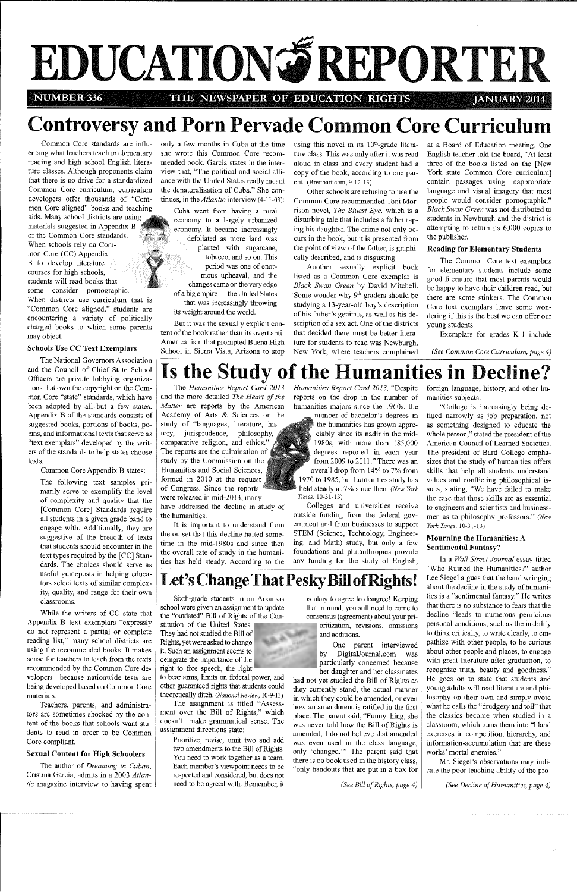# **EDUCATION ORTER**

**NUMBER 336 THE NEWSPAPER OF EDUCATION RIGHTS JANUARY 2014** 

## **Controversy and Porn Pervade Common Core Curriculum**

only a few months in Cuba at the time she wrote this Common Core recommended book. Garcia states in the interview that, "The political and social alliance with the United States really meant the denaturalization of Cuba." She continues, in the *Atlantic* interview (4-11-03):

Common Core standards are influencing what teachers teach in elementary reading and high school English literature classes. Although proponents claim that there is no drive for a standardized **Common Core curriculum, curriculum**  developers offer thousands of "Com-

mon Core aligned" books and teaching aids. Many school districts are **usingft** materials suggested in Appendix B , . . · .. of the Common Core standards. When schools rely on Common Core  $(CC)$  Appendix B to develop literature courses for high schools, students will read books that some consider pornographic. When districts use curriculum that is "Common Core aligned," students are encountering a variety of politically charged books to which some parents may object.

using this novel in its  $10<sup>th</sup>$ -grade literature class. This was only after it was read aloud in class and every student had a copy of the book, according to one parent. (Breitbart.com, 9-12-13)

Cuba went from having a rural economy to a largely urbanized economy. It became increasingly defoliated as more land was planted with sugarcane, tobacco, and so on. This period was one of enormous upheaval, and the changes came on the very edge of a big empire — the United States — that was increasingly throwing its weight around the world.

## **Schools Use CC Text Exemplars**

But it was the sexually explicit content of the book rather than its overt anti-Americanism that prompted Buena High School in Sierra Vista, Arizona to stop

Other schools are refusing to use the Common Core recommended Toni Morrison novel, *The Bluest Eye,* which is a disturbing tale that includes a father raping his daughter. The crime not only occurs in the book, but it is presented from the point of view of the father, is graphically described, and is disgusting.

Another sexually explicit book listed as a Common Core exemplar is *Black Swan Green* by David Mitchell. Some wonder why 9<sup>th</sup>-graders should be studying a 13-year-old boy's description of his father's genitals, as well as his description of a sex act. One of the districts that decided there must be better literature for students to read was Newburgh, New York, where teachers complained

at a Board of Education meeting. One English teacher told the board, "At least three of the books listed on the [New York state Common Core curriculum] contain passages using inappropriate language and visual imagery that most people would consider pornographic." *Black Swan Green* was not distributed to students in Newburgh and the district is attempting to return its 6,000 copies to the publisher.

## **Reading for Elementary Students**

The Common Core text exemplars for elementary students include some good literature that most parents would be happy to have their children read, but there are some stinkers. The Common **Core text exemplars leave some won**dering if this is the best we can offer our young students.

Exemplars for grades K-1 include

*(See Common Core Curriculum, page 4)* 

The National Governors Association and the Council of Chief State School Officers are private lobbying organizations that own the copyright on the Common Core "state" standards, which have been adopted by all but a few states. Appendix B of the standards consists of suggested books, portions of books, poems, and informational texts that serve as "text exemplars" developed by the writers of the standards to help states choose texts.

## **Is the Study of the Humanities in Decline?**

Common Core Appendix B states:

The following text samples primarily serve to exemplify the level of complexity and quality that the [Common Core] Standards require all students in a given grade band to engage with. Additionally, they are suggestive of the breadth of texts that students should encounter in the text types required by the [CC] Standards. The choices should serve as useful guideposts in helping educators select texts of similar complexity, quality, and range for their own **classrooms.** 

While the writers of CC state that Appendix B text exemplars "expressly do not represent a partial or complete **reading list," many school districts are**  using the recommended books. It makes sense for teachers to teach from the texts recommended by the Common Core de**velopers because nationwide tests are**  being developed based on Common Core materials.

**Teachers, parents, and administra**tors are sometimes shocked by the content of the books that schools want students to read in order to be Common Core compliant.

### **Sexual Content for High Schoolers**

The author of *Dreaming in Cuban,*  Cristina Garcia, admits in a 2003 *Atlantic* magazine interview to having spent

The *Humanities Report Card 2013*  and the more detailed *The Heart of the Matter* are reports by the American Academy of Arts & Sciences on the study of "languages, literature, history, jurisprudence, philosophy, comparative religion, and ethics.' The reports are the culmination of study by the Commission on the Humanities and Social Sciences, formed in  $2010$  at the request of Congress. Since the reports were released in mid-2013, many have addressed the decline in study of

the humanities. It is important to understand from the outset that this decline halted sometime in the mid-1980s and since then the overall rate of study in the humanities has held steady. According to the *Humanities Report Card 2013,* "Despite reports on the drop in the number of humanities majors since the 1960s, the

number of bachelor's degrees in the humanities has grown appreciably since its nadir in the midl 980s, with more than 185,000 degrees reported in each year from 2009 to  $2011$ ." There was an overall drop from 14% to 7% from 1970 to 1985, but humanities study has held steady at 7% since then. *(New York Times,* 10-31-13)

Colleges and universities receive outside funding from the federal government and from businesses to support STEM (Science, Technology, Engineering, and Math) study, but only a few foundations and philanthropies provide any funding for the study of English,

## **Let's Change That Pesky Bill ofRights!**

Sixth-grade students in an Arkansas school were given an assignment to update the "outdated" Bill of Rights of the Con-

stitution of the United States. They had not studied the Bill of Rights, yet were asked to change it. Such an assignment seems to

denigrate the importance of the right to free speech, the right to bear arms, limits on federal power, and other guaranteed rights that students could theoretically ditch. *(National Review,* 10-9-13) The assignment is titled "Assess-

ment over the Bill of Rights," which doesn't make grammatical sense. The assignment directions state:

> Prioritize, revise, omit two and add two amendments to the Bill of Rights. You need to work together as a team. Each member's viewpoint needs to be respected and considered, but does not need to be agreed with. Remember, it

is okay to agree to disagree! Keeping that in mind, you still need to come to consensus (agreement) about your pri**oritization, revisions, omissions** 

and additions. One parent interviewed by Digita!Journal.com was particularly concerned because her daughter and her classmates had not yet studied the Bill of Rights as they currently stand, the actual manner in which they could be amended, or even how an amendment is ratified in the first place. The parent said, "Funny thing, she was never told how the Bill of Rights is amended; I do not believe that amended was even used in the class language, only 'changed."' The parent said that there is no book used in the history class, "only handouts that are put in a box for

*(See Bill of Rights, page 4)* 

foreign language, history, and other humanities subjects.

"College is increasingly being defined narrowly as job preparation, not as something designed to educate the whole person," stated the president of the American Council of Learned Societies. The president of Bard College emphasizes that the study of humanities offers skills that help all students understand values and conflicting philosophical is**sues, stating, "We have failed to make**  the case that those skills are as essential to engineers and scientists and businessmen as to philosophy professors." *(New York Times,* 10-31-13)

## **Monrning the Humanities:** A **Sentimental Fantasy?**

In a *Wall Street Journal* essay titled "Who Ruined the Humanities?" author Lee Siegel argues that the hand wringing about the decline in the study of humanities is a "sentimental fantasy." He writes that there is no substance to fears that the **decline "leads to numerous pernicious**  personal conditions, such as the inability to think critically, to write clearly, to empathize with other people, to be curious about other people and places, to engage with great literature after graduation, to recognize truth, beauty and goodness." He goes on to state that students and young adults will read literature and philosophy on their own and simply avoid what he calls the "drudgery and toil" that the classics become when studied in a classroom, which turns them into "bland **exercises in competition, hierarchy, and**  information-accumulation that are these **works' mortal enemies."**  Mr. Siegel's observations may indicate the poor teaching ability of the pro-

*(See Decline of Humanities, page 4)*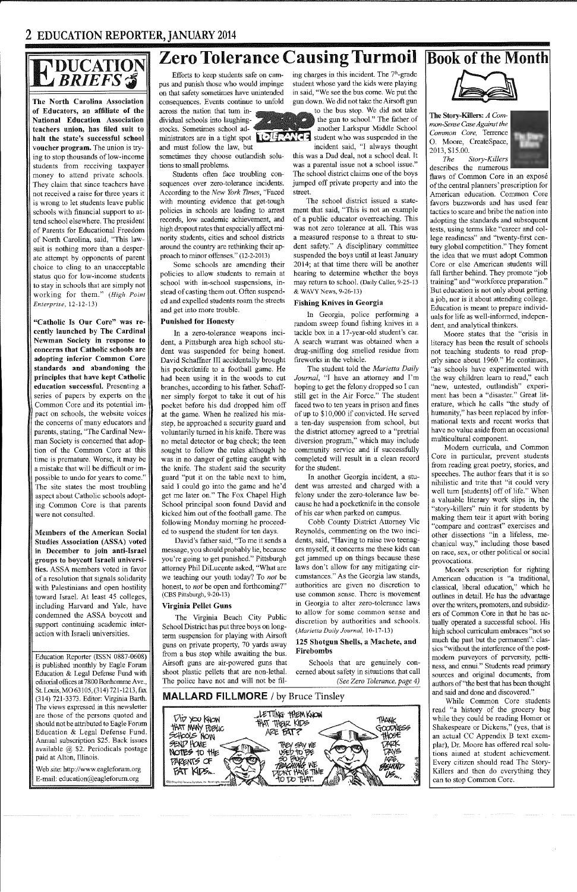## $\text{F}\substack{\text{DUCATION}\ \text{BRIFS}\, \text{\$}}$

**The North Carolina Association of Educators, an affiliate of the National Education Association teachers union, has filed suit to halt the state's successful school voucher program.** The union is trying to stop thousands of low-income students from receiving taxpayer money to attend private schools. They claim that since teachers have not received a raise for three years it is wrong to let students leave public schools with financial support to attend school elsewhere. The president of Parents for Educational Freedom of North Carolina, said, "This lawsuit is nothing more than a desperate attempt by opponents of parent choice to cling to an unacceptable status quo for low-income students to stay in schools that are simply not working for them." *(High Point Enterprise,* 12-12-13)

"Catholic Is Our Core" was re**cently launched by The Cardinal Newman Society in response to concerns that Catholic schools are adopting inferior Common Core standards and abandoning the principles that have kept Catholic education successful.** Presenting a series of papers by experts on the Common Core and its potential impact on schools, the website voices the concerns of many educators and parents, stating, "The Cardinal Newman Society is concerned that adoption of the Common Core at this time is premature. Worse, it may be a mistake that will be difficult or impossible to undo for years to come." The site states the most troubling aspect about Catholic schools adopting Common Core is that parents were not consulted.

**Members of the American Social Studies Association (ASSA) voted in December to join anti-Israel groups to boycott Israeli universi**ties. ASSA members voted in favor of a resolution that signals solidarity with Palestinians and open hostility toward Israel. At least 45 colleges, including Harvard and Yale, have condemned the ASSA boycott and support continuing academic interaction with Israeli universities.

Education Reporter (ISSN 0887-0608) is published monthly by Eagle Forum Education & Legal Defense Fund with editorial offices at 7800 Bonhomme Ave., St. Louis, MO 63105, (314) 721-1213, fax (314) 721-3373. Editor: Virginia Barth. The views expressed in this newsletter are those of the persons quoted and should not be attributed to Eagle Forum Education & Legal Defense Fund. Annual subscription \$25. Back issues available @ \$2. Periodicals postage paid at Alton, Illinois.

Web site: http://www.eagleforum.org E-mail: education@eagleforum.org

Efforts to keep students safe on campus and punish those who would impinge on that safety sometimes have unintended consequences. Events continue to unfold

across the nation that tum individual schools into laughingstocks. Sometimes school ad-

and must follow the law, but sometimes they choose outlandish solutions to small problems.

Students often face troubling consequences over zero-tolerance incidents. According to the *New York Times,* "Faced with mounting evidence that get-tough policies in schools are leading to arrest records, low academic achievement, and high dropout rates that especially affect minority students, cities and school districts around the country are rethinking their approach to minor offenses." (12-2-2013)

> cause he had a pocketknife in the console of his car when parked on campus. Cobb County District Attorney Vic Reynolds, commenting on the two inci dents, said, "Having to raise two teenag ers myself, it concerns me these kids can get januned up on things because these laws don't allow for any mitigating cir cumstances." As the Georgia law stands,<br>authorities are given no discretion to<br>use common sense. There is movement<br>in Georgia to alter zero-tolerance laws<br>to allow for some common sense and<br>discretion by authorities and sc *(Marietta Daily Journal, 10-17-13)*

Some schools are amending their policies to allow students to remain at school with in-school suspensions, instead of casting them out. Often suspended and expelled students roam the streets and get into more trouble.

## **Punished for Honesty**

In a zero-tolerance weapons incident, a Pittsburgh area high school student was suspended for being honest. David Schaffner III accidentally brought his pocketknife to a football game. He had been nsing it in the woods to cut branches, according to his father. Schaffner simply forgot to take it out of his pocket before his dad dropped him off at the game. When he realized his misstep, he approached a security guard and voluntarily turned in his knife. There was no metal detector or bag check; the teen sought to follow the rules although he was in no danger of getting caught with the knife. The student said the security guard "put it on the table next to him, said I could go into the game and he'd get me later on." The Fox Chapel High School principal soon found David and kicked him out of the football game. The following Monday morning he proceeded to suspend the student for ten days.

flaws of Common Core in an exposé of the central planners' prescription for American education. Common Core favors buzzwords and has used fear tactics to scare and bribe the nation into adopting the standards and subsequent tests, using terms like "career and college readiness" and "twenty-first century global competition." They foment the idea that we must adopt Common Core or else American students will fall farther behind. They promote "job training" and "workforce preparation." But education is not only about getting a job, nor is it about attending college. Education is meant to prepare individuals for life as well-informed, independent, and analytical thinkers.

David's father said, "To me it sends a message, you should probably lie, because you're going to get punished." Pittsburgh attorney Phil DiLucente asked, "What are we teaching our youth today? To *not* be honest, to *not* be open and forthcoming?" (CBS Pittsburgh, 9-20-13)

### **Virginia Pellet Guns**

The Virginia Beach City Public School District has put three boys on longterm suspension for playing with Airsoft guns on private property, 70 yards away from a bus stop while awaiting the bus. Airsoft guns are air-powered guns that shoot plastic pellets that are non-lethal. The police have not and will not be fil-

ministrators are in a tight spot  $\left[\begin{array}{c} \bullet \\ \bullet \end{array}\right]$  student who was suspended in the

ing charges in this incident. The  $7^{\text{th}}$ -grade<br>student whose yard the kids were playing<br>in said, "We see the bus come. We put the<br>gun down. We did not take the Airsoft gun<br>to the bus stop. We did not take<br>the gun to sc

ment that said, "This is not an example of a public educator overreaching. This was not zero tolerance at all. This was a measured response to a threat to student safety." A disciplinary committee<br>suspended the boys until at least January<br>2014; at that time there will be another<br>hearing to determine whether the boys<br>may return to school. (Daily Caller, 9-25-13<br>& WAVY News, 9-2

## **Zero Tolerance Causing Turmoil Book of the Month**

## **Fishing Knives in Georgia**

In Georgia, police performing a<br>random sweep found fishing knives in a<br>tackle box in a 17-year-old student's car.<br>A search warrant was obtained when a<br>drug-sniffing dog smelled residue from<br>fireworks in the vehicle.<br>The st

dent was arrested and charged with a felony under the zero-tolerance law be-

## **125 Shotgun Shells, a Machete, and Firebombs**





Schools that are genuinely con cerned about safety in situations that call *(See Zero Tolerance, page 4)* 

## **MALLARD FILLMORE** / by Bruce Tinsley



**The Story-Killers:** *A Common-Sense CaseAgainst the Common Core,* Terrence 0. Moore, CreateSpace, 2013, \$15.00.



*The Story-Killers*  describes the numerous

Moore states that the "crisis in literacy has been the result of schools not teaching students to read properly since about 1960." He continues, "as schools have experimented with the way children learn to read," each "new, untested, outlandish" experiment has been a "disaster." Great literature, which he calls "the study of humanity," has been replaced by informational texts and recent works that have no value aside from an occasional multicultural component.

Modem curricula, and Common Core in particular, prevent students from reading great poetry, stories, and speeches. The author fears that it is so nihilistic and trite that "it could very well tum [students] off of life." When a valuable literary work slips in, the "story-killers" ruin it for students by making them tear it apart with boring "compare and contrast" exercises and other dissections "in a lifeless, mechanical way," including those based on race, sex, or other political or social provocations.

Moore's prescription for righting American education is "a traditional, classical, liberal education," which he outlines in detail. He has the advantage over the writers, promoters, and subsidizers of Common Core in that he has actually operated a successful school. His high school curriculum embraces "not so much the past but the permanent": classics "without the interference of the postmodern purveyors of perversity, pettiness, and ennui." Students read primary sources and original documents, from authors of"the best that has been thought and said and done and discovered." While Common Core students read "a history of the grocery bag while they could be reading Homer or Shakespeare or Dickens," (yes, that is an actual CC Appendix B text exemplar), Dr. Moore has offered real solutions aimed at student achievement. Every citizen should read The Story-Killers and then do everything they can to stop Common Core.

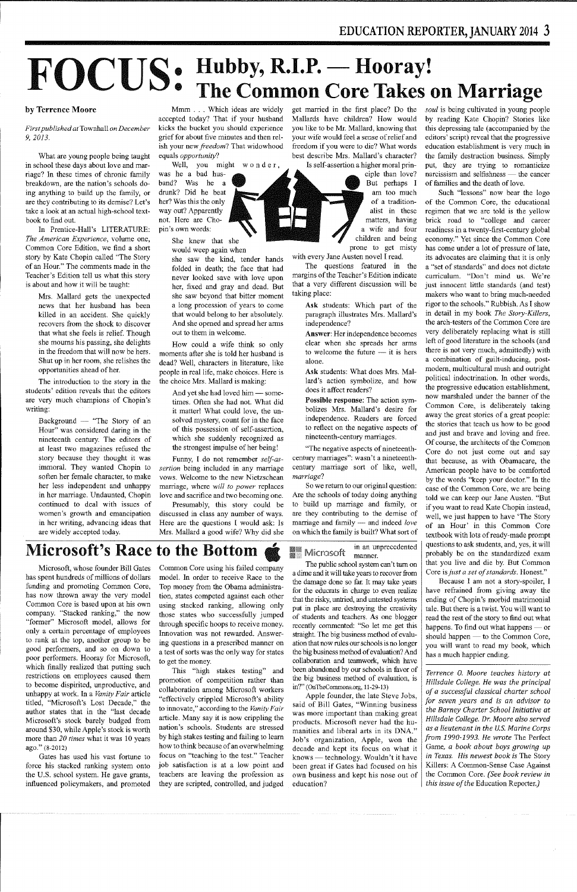## **FOCUS: Hubby, R.I.P. - Hooray! The Common Core Takes on Marriage**

## **by Terrence Moore**

*First published at* Townhall *on December 9, 2013.* 

What are young people being taught in school these days about love and marriage? In these times of chronic family breakdown, are the nation's schools doing anything to build up the family, or are they contributing to its demise? Let's take a look at an actual high-school textbook to find out.

In Prentice-Hall's LITERATURE: *The American Experience,* **volume one,**  Common Core Edition, we find a short story by Kate Chopin called "The Story of an Hour." The comments made in the Teacher's Edition tell us what this story is about and how it will be taught:

Background  $-$  "The Story of an **Hour" was considered daring in the**  nineteenth century. The editors of at least two magazines refused the story because they thought it was immoral. They wanted Chopin to soften her female character, to make her less independent and unhappy in her marriage. Undaunted, Chopin continued to deal with issues of **women's growth and emancipation**  in her writing, advancing ideas that are widely accepted today.

Mrs. Mallard gets the unexpected news that her husband has been killed in an accident. She quickly recovers from the shock to discover that wbat she feels is relief. Though she mourns his passing, she delights in the freedom that will now be hers. Shut up in her room, she relishes the opportunities ahead of her.

Well, you might wonder, was he a bad husband? Was he a drunk? Did he beat her? Was this the only way out? Apparently not. Here are Chopin's own words:

She knew that she would weep again when

The introduction to the story in the students' edition reveals that the editors are very much champions of Chopin's writing:

And yet she had loved him - sometimes. Often she had not. What did it matter! What could love, the unsolved mystery, count for in the face of this possession of self-assertion, which she suddenly recognized as the strongest impulse of her being!

Mmm ... Which ideas are widely accepted today? That if your husband kicks the bucket you should experience grief for about five minutes and then relish your new *freedom?* That widowhood equals *opportunity?* 

she saw the kind, tender hands folded in death; the face that had never looked save with love upon her, fixed and gray and dead. But she saw beyond that bitter moment a long procession of years to come that would belong to her absolutely. And she opened and spread her arms out to them in welcome.

How could a wife think so only moments after she is told her husband is dead? Well, characters in literature, like people in real life, make choices. Here is the choice Mrs. Mallard is making:

Funny, I do not remember *self-assertion* being included in any marriage vows. Welcome to the new Nietzschean **marriage, where** *will to power* **replaces**  love and sacrifice and two becoming one.

Presumably, this story could be discussed in class any number of ways. Here are the questions I would ask: Is Mrs. Mallard a good wife? Why did she

**Microsoft's Race to the Bottom** 

Microsoft, whose founder Bill Gates has spent hundreds of millions of dollars funding and promoting Common Core, has now thrown away the very model Common Core is based upon at his own company. "Stacked ranking," the now "former" Microsoft model, allows for only a certain percentage of employees to rank at the top, another group to be good performers, and so on down to poor performers. Hooray for Microsoft, which finally realized that putting such restrictions on employees caused them to become dispirited, unproductive, and unhappy at work. In a *Vanity Fair* article titled, "Microsoft's Lost Decade," the author states that in the "last decade Microsoft's stock barely budged from around \$30, while Apple's stock is worth more than *20 times* what it was 10 years ago." (8-2012)

*soul* is being cultivated in young people by reading Kate Chopin? Stories like this depressing tale (accompanied by the editors' script) reveal that the progressive education establishment is very much in the family destruction business. Simply put, they are trying to romanticize **narcissism and selfishness - the cancer**  of families and the death of love.

Gates has used his vast fortune to force his stacked ranking system onto the U.S. school system. He gave grants, influenced policymakers, and promoted Common Core using his failed company model. In order to receive Race to the Top money from the Obama administration, states competed against each other using stacked ranking, allowing only those states who successfully jumped through specific hoops to receive money. Innovation was not rewarded. Answer**ing questions in a prescribed manner on**  a test of sorts was the only way for states

to get the money.

This "high stakes testing" and promotion of competition rather than collaboration among Microsoft workers "effectively crippled Microsoft's ability **to innovate," according to the** *Vanity Fair*  article. Many say it is now crippling the nation's schools. Students are stressed by high stakes testing and failing to learn how to think because of an overwhelming focus on "teaching to the test." Teacher job satisfaction is at a low point and teachers are leaving the profession as they are scripted, controlled, and judged

get married in the first place? Do the Mallards have children? How would you like to be Mr. Mallard, knowing that your wife would feel a sense of relief and freedom if you were to die? What words best describe Mrs. Mallard's character? Is self-assertion a higher moral prin-

ciple than love? But perhaps I am too much of a traditionalist in these matters, having a wife and four children and being prone to get misty

with every Jane Austen novel I read.

The questions featured in the margins of the Teacher's Edition indicate that a very different discussion will be taking place:

**Ask** students: Which part of the paragraph illustrates Mrs. Mallard's independence?

**Answer:** Her independence becomes clear when she spreads her arms to welcome the future  $-$  it is hers alone.

**Ask** students: What does Mrs. Mallard's action symbolize, and how does it affect readers?

**Possible response:** The action symbolizes Mrs. Mallard's desire for independence. Readers are forced to reflect on the negative aspects of nineteenth-century marriages.

"The negative aspects of nineteenthcentury marriages": wasn't a nineteenthcentury marriage sort of like, well, *marriage?* 

So we return to our original question: Are the schools of today doing anything to build up marriage and family, or are they contributing to the demise of marriage and family — and indeed *love* on which the family is built? What sort of

in an unprecedented Microsoft **manner.** 

**BASE** 

The public school system can't turn on a dime and it will take years to recover from the damage done so far. It may take years for the educrats in charge to even realize that the risky, untried, and untested systems put in place are destroying the creativity of students and teachers. As one blogger recently commented: "So let me get this straight. The big business method of evaluation that now rules our schools is no longer the big business method of evaluation? And collaboration and teamwork, which have been abandoned by our schools in favor of the big business method of evaluation, is in?" (OnTheCommons,org, 11-29-13) Apple founder, the late Steve Jobs, said of Bill Gates, "Winning business was more important than making great products. Microsoft never had the humanities and liberal arts in its DNA." Job's organization, Apple, won the decade and kept its focus on what it knows - technology. Wouldn't it have been great if Gates had focused on his own business and kept his nose out of education?

**Such "lessons" now bear the logo**  of the Common Core, the educational regimen that we are told is the yellow brick road to "college and career readiness in a twenty-first-century global **economy." Yet since the Common Core**  has come under a lot of pressure of late, its advocates are claiming that it is only <sup>a</sup>"set of standards" and does not dictate **curriculum. "Don't mind us. We're**  just innocent little standards (and test) makers who want to bring much-needed rigor to the schools." Rubbish. As I show in detail in my book *The Story-Killers,*  the arch-testers of the Common Core are very deliberately replacing what is still left of good literature in the schools (and there is not very much, admittedly) with a combination of guilt-inducing, postmodern, multicultural mush and outright political indoctrination. In other words, the progressive education establishment, now marshaled under the banner of the Common Core, is deliberately taking away the great stories of a great people: the stories that teach us how to be good and just and brave and loving and free. Of course, the architects of the Common Core do not just come out and say that because, as with Obamacare, the American people have to be comforted by the words "keep your doctor." In the **case of the Common Core, we are being**  told we can keep our Jane Austen. "But if you want to read Kate Chopin instead, well, we just happen to have 'The Story of an Hour' in this Common Core textbook with lots of ready-made prompt questions to ask students, and, yes, it will probably be on the standardized exam that you live and die by. But Common Core is *just a set of standards.* Honest."

Because I am not a story-spoiler, I have refrained from giving away the ending of Chopin's morbid matrimonial tale. But there is a twist. You will want to read the rest of the story to find out what happens. To find out what happens  $-$  or should happen  $-$  to the Common Core, you will want to read my book, which has a much happier ending.

*Terrence 0. Moore teaches history at Hillsdale College. He was the principal of a successful classical charter school for seven years and* is *an advisor to the Barney Charter School Initiative at Hillsdale College.* Dr. *Moore also served as a lieutenant in the U.S. Marine Corps from 1990-1993. He wrote* The Perfect Game, *a book about boys growing up in Texas. His newest book is* The Story Killers: A Common-Sense Case Against the Common Core. *(See book review in this issue of the* Education Reporter.)